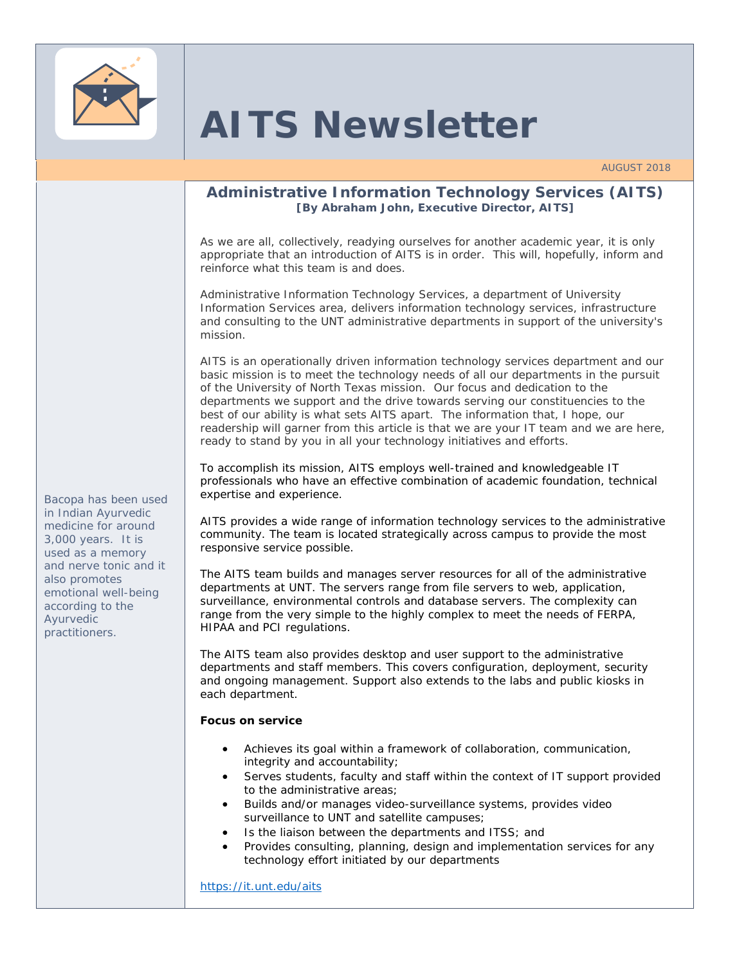

# **AITS Newsletter**

## **Administrative Information Technology Services (AITS) [By Abraham John, Executive Director, AITS]**

As we are all, collectively, readying ourselves for another academic year, it is only appropriate that an introduction of AITS is in order. This will, hopefully, inform and reinforce what this team is and does.

Administrative Information Technology Services, a department of University Information Services area, delivers information technology services, infrastructure and consulting to the UNT administrative departments in support of the university's mission.

AITS is an operationally driven information technology services department and our basic mission is to meet the technology needs of all our departments in the pursuit of the University of North Texas mission. Our focus and dedication to the departments we support and the drive towards serving our constituencies to the best of our ability is what sets AITS apart. The information that, I hope, our readership will garner from this article is that we are your IT team and we are here, ready to stand by you in all your technology initiatives and efforts.

To accomplish its mission, AITS employs well-trained and knowledgeable IT professionals who have an effective combination of academic foundation, technical expertise and experience.

AITS provides a wide range of information technology services to the administrative community. The team is located strategically across campus to provide the most responsive service possible.

The AITS team builds and manages server resources for all of the administrative departments at UNT. The servers range from file servers to web, application, surveillance, environmental controls and database servers. The complexity can range from the very simple to the highly complex to meet the needs of FERPA, HIPAA and PCI regulations.

The AITS team also provides desktop and user support to the administrative departments and staff members. This covers configuration, deployment, security and ongoing management. Support also extends to the labs and public kiosks in each department.

#### **Focus on service**

- Achieves its goal within a framework of collaboration, communication, integrity and accountability;
- Serves students, faculty and staff within the context of IT support provided to the administrative areas;
- Builds and/or manages video-surveillance systems, provides video surveillance to UNT and satellite campuses;
- Is the liaison between the departments and ITSS; and
- Provides consulting, planning, design and implementation services for any technology effort initiated by our departments

https://it.unt.edu/aits

*Bacopa has been used in Indian Ayurvedic medicine for around 3,000 years. It is used as a memory and nerve tonic and it also promotes emotional well-being according to the Ayurvedic practitioners.*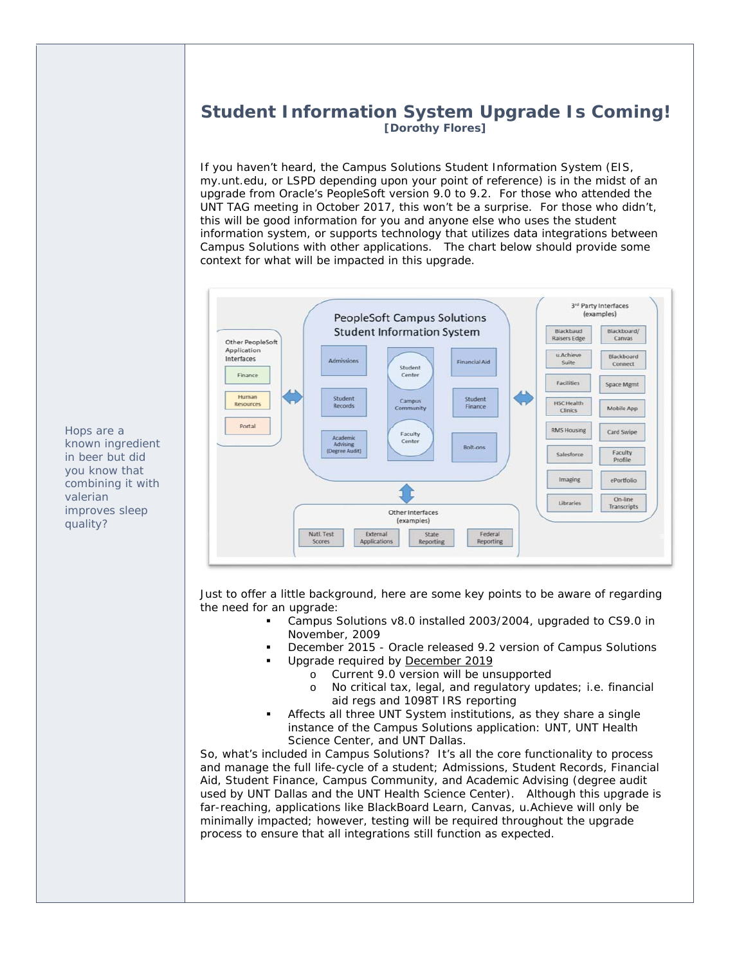# **Student Information System Upgrade Is Coming! [Dorothy Flores]**

If you haven't heard, the Campus Solutions Student Information System (EIS, my.unt.edu, or LSPD depending upon your point of reference) is in the midst of an upgrade from Oracle's PeopleSoft version 9.0 to 9.2. For those who attended the UNT TAG meeting in October 2017, this won't be a surprise. For those who didn't, this will be good information for you and anyone else who uses the student information system, or supports technology that utilizes data integrations between Campus Solutions with other applications. The chart below should provide some context for what will be impacted in this upgrade.



Just to offer a little background, here are some key points to be aware of regarding the need for an upgrade:

- Campus Solutions v8.0 installed 2003/2004, upgraded to CS9.0 in November, 2009
- December 2015 Oracle released 9.2 version of Campus Solutions
- Upgrade required by December 2019
	- o Current 9.0 version will be unsupported
	- o No critical tax, legal, and regulatory updates; i.e. financial aid regs and 1098T IRS reporting
- Affects all three UNT System institutions, as they share a single instance of the Campus Solutions application: UNT, UNT Health Science Center, and UNT Dallas.

So, what's included in Campus Solutions? It's all the core functionality to process and manage the full life-cycle of a student; Admissions, Student Records, Financial Aid, Student Finance, Campus Community, and Academic Advising (degree audit used by UNT Dallas and the UNT Health Science Center). Although this upgrade is far-reaching, applications like BlackBoard Learn, Canvas, u.Achieve will only be minimally impacted; however, testing will be required throughout the upgrade process to ensure that all integrations still function as expected.

*Hops are a known ingredient in beer but did you know that combining it with valerian improves sleep quality?*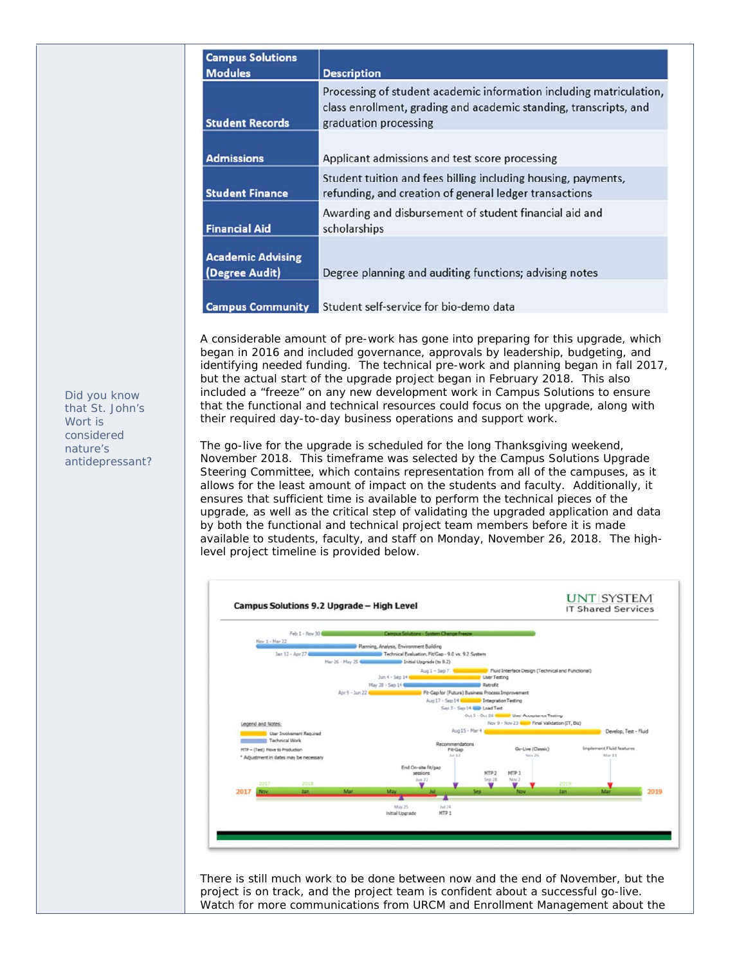| <b>Campus Solutions</b><br><b>Modules</b>  | <b>Description</b>                                                                                                                                                |
|--------------------------------------------|-------------------------------------------------------------------------------------------------------------------------------------------------------------------|
| <b>Student Records</b>                     | Processing of student academic information including matriculation,<br>class enrollment, grading and academic standing, transcripts, and<br>graduation processing |
| <b>Admissions</b>                          | Applicant admissions and test score processing                                                                                                                    |
| <b>Student Finance</b>                     | Student tuition and fees billing including housing, payments,<br>refunding, and creation of general ledger transactions                                           |
| <b>Financial Aid</b>                       | Awarding and disbursement of student financial aid and<br>scholarships                                                                                            |
| <b>Academic Advising</b><br>(Degree Audit) | Degree planning and auditing functions; advising notes                                                                                                            |
| <b>Campus Community</b>                    | Student self-service for bio-demo data                                                                                                                            |

A considerable amount of pre-work has gone into preparing for this upgrade, which began in 2016 and included governance, approvals by leadership, budgeting, and identifying needed funding. The technical pre-work and planning began in fall 2017, but the actual start of the upgrade project began in February 2018. This also included a "freeze" on any new development work in Campus Solutions to ensure that the functional and technical resources could focus on the upgrade, along with their required day-to-day business operations and support work.

The go-live for the upgrade is scheduled for the long Thanksgiving weekend, November 2018. This timeframe was selected by the Campus Solutions Upgrade Steering Committee, which contains representation from all of the campuses, as it allows for the least amount of impact on the students and faculty. Additionally, it ensures that sufficient time is available to perform the technical pieces of the upgrade, as well as the critical step of validating the upgraded application and data by both the functional and technical project team members before it is made available to students, faculty, and staff on Monday, November 26, 2018. The highlevel project timeline is provided below.



There is still much work to be done between now and the end of November, but the project is on track, and the project team is confident about a successful go-live. Watch for more communications from URCM and Enrollment Management about the

*Did you know that St. John's Wort is considered nature's antidepressant?*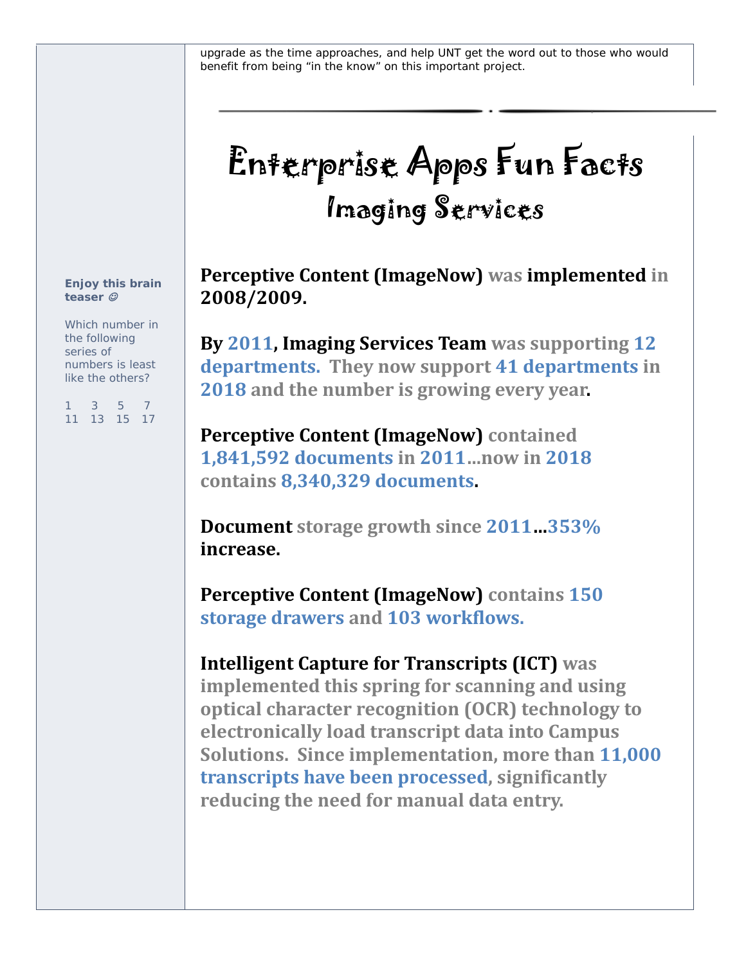upgrade as the time approaches, and help UNT get the word out to those who would benefit from being "in the know" on this important project.

# Enterprise Apps Fun Facts Imaging Services

**Perceptive Content (ImageNow) was implemented in 2008/2009.**

**By 2011, Imaging Services Team was supporting 12 departments. They now support 41 departments in 2018 and the number is growing every year.** 

**Perceptive Content (ImageNow) contained 1,841,592 documents in 2011…now in 2018 contains 8,340,329 documents.** 

**Document storage growth since 2011…353% increase.** 

**Perceptive Content (ImageNow) contains 150 storage drawers and 103 workflows.** 

# **Intelligent Capture for Transcripts (ICT) was**

**implemented this spring for scanning and using optical character recognition (OCR) technology to electronically load transcript data into Campus Solutions. Since implementation, more than 11,000 transcripts have been processed, significantly reducing the need for manual data entry.** 

#### *Enjoy this brain teaser*

*Which number in the following series of numbers is least like the others?* 

*1 3 5 7 11 13 15 17*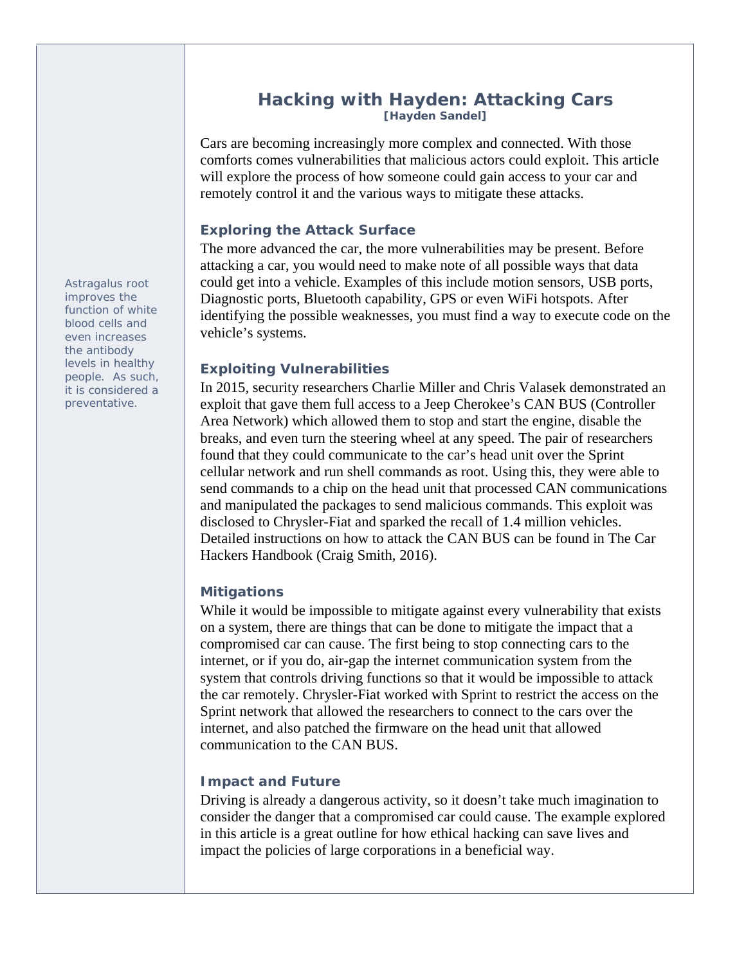### **Hacking with Hayden: Attacking Cars [Hayden Sandel]**

Cars are becoming increasingly more complex and connected. With those comforts comes vulnerabilities that malicious actors could exploit. This article will explore the process of how someone could gain access to your car and remotely control it and the various ways to mitigate these attacks.

### **Exploring the Attack Surface**

The more advanced the car, the more vulnerabilities may be present. Before attacking a car, you would need to make note of all possible ways that data could get into a vehicle. Examples of this include motion sensors, USB ports, Diagnostic ports, Bluetooth capability, GPS or even WiFi hotspots. After identifying the possible weaknesses, you must find a way to execute code on the vehicle's systems.

### **Exploiting Vulnerabilities**

In 2015, security researchers Charlie Miller and Chris Valasek demonstrated an exploit that gave them full access to a Jeep Cherokee's CAN BUS (Controller Area Network) which allowed them to stop and start the engine, disable the breaks, and even turn the steering wheel at any speed. The pair of researchers found that they could communicate to the car's head unit over the Sprint cellular network and run shell commands as root. Using this, they were able to send commands to a chip on the head unit that processed CAN communications and manipulated the packages to send malicious commands. This exploit was disclosed to Chrysler-Fiat and sparked the recall of 1.4 million vehicles. Detailed instructions on how to attack the CAN BUS can be found in The Car Hackers Handbook (Craig Smith, 2016).

#### **Mitigations**

While it would be impossible to mitigate against every vulnerability that exists on a system, there are things that can be done to mitigate the impact that a compromised car can cause. The first being to stop connecting cars to the internet, or if you do, air-gap the internet communication system from the system that controls driving functions so that it would be impossible to attack the car remotely. Chrysler-Fiat worked with Sprint to restrict the access on the Sprint network that allowed the researchers to connect to the cars over the internet, and also patched the firmware on the head unit that allowed communication to the CAN BUS.

#### **Impact and Future**

Driving is already a dangerous activity, so it doesn't take much imagination to consider the danger that a compromised car could cause. The example explored in this article is a great outline for how ethical hacking can save lives and impact the policies of large corporations in a beneficial way.

*Astragalus root improves the function of white blood cells and even increases the antibody levels in healthy people. As such, it is considered a preventative.*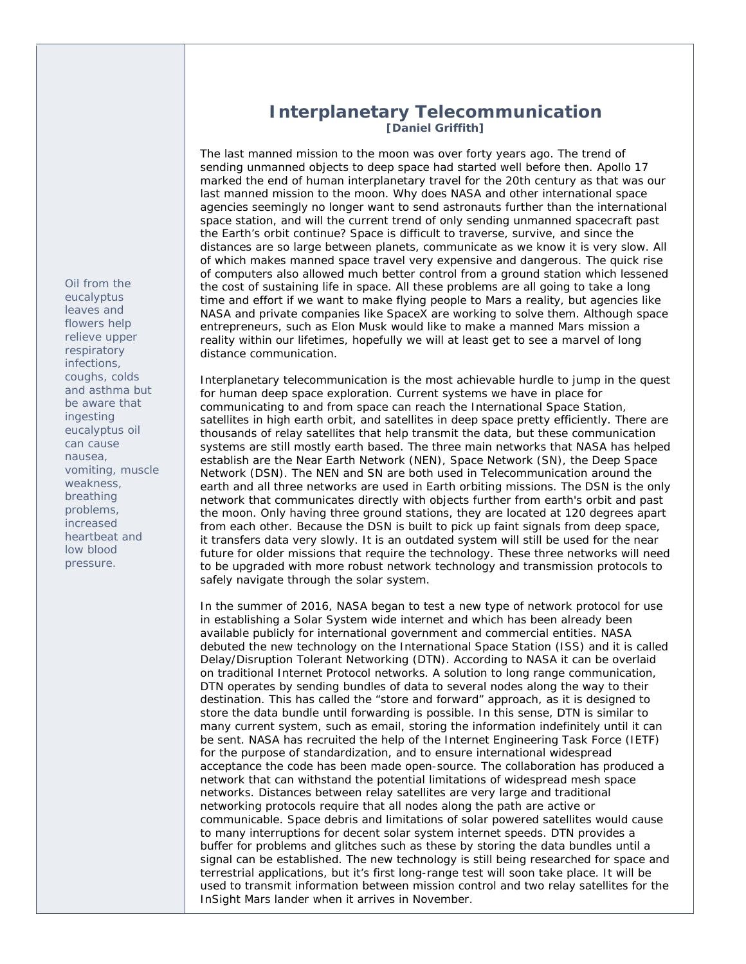#### *eucalyptus leaves and flowers help relieve upper respiratory infections, coughs, colds and asthma but be aware that ingesting eucalyptus oil can cause nausea, vomiting, muscle weakness, breathing problems, increased heartbeat and low blood pressure.*

*Oil from the* 

# **Interplanetary Telecommunication [Daniel Griffith]**

The last manned mission to the moon was over forty years ago. The trend of sending unmanned objects to deep space had started well before then. Apollo 17 marked the end of human interplanetary travel for the 20th century as that was our last manned mission to the moon. Why does NASA and other international space agencies seemingly no longer want to send astronauts further than the international space station, and will the current trend of only sending unmanned spacecraft past the Earth's orbit continue? Space is difficult to traverse, survive, and since the distances are so large between planets, communicate as we know it is very slow. All of which makes manned space travel very expensive and dangerous. The quick rise of computers also allowed much better control from a ground station which lessened the cost of sustaining life in space. All these problems are all going to take a long time and effort if we want to make flying people to Mars a reality, but agencies like NASA and private companies like SpaceX are working to solve them. Although space entrepreneurs, such as Elon Musk would like to make a manned Mars mission a reality within our lifetimes, hopefully we will at least get to see a marvel of long distance communication.

Interplanetary telecommunication is the most achievable hurdle to jump in the quest for human deep space exploration. Current systems we have in place for communicating to and from space can reach the International Space Station, satellites in high earth orbit, and satellites in deep space pretty efficiently. There are thousands of relay satellites that help transmit the data, but these communication systems are still mostly earth based. The three main networks that NASA has helped establish are the Near Earth Network (NEN), Space Network (SN), the Deep Space Network (DSN). The NEN and SN are both used in Telecommunication around the earth and all three networks are used in Earth orbiting missions. The DSN is the only network that communicates directly with objects further from earth's orbit and past the moon. Only having three ground stations, they are located at 120 degrees apart from each other. Because the DSN is built to pick up faint signals from deep space, it transfers data very slowly. It is an outdated system will still be used for the near future for older missions that require the technology. These three networks will need to be upgraded with more robust network technology and transmission protocols to safely navigate through the solar system.

In the summer of 2016, NASA began to test a new type of network protocol for use in establishing a Solar System wide internet and which has been already been available publicly for international government and commercial entities. NASA debuted the new technology on the International Space Station (ISS) and it is called Delay/Disruption Tolerant Networking (DTN). According to NASA it can be overlaid on traditional Internet Protocol networks. A solution to long range communication, DTN operates by sending bundles of data to several nodes along the way to their destination. This has called the "store and forward" approach, as it is designed to store the data bundle until forwarding is possible. In this sense, DTN is similar to many current system, such as email, storing the information indefinitely until it can be sent. NASA has recruited the help of the Internet Engineering Task Force (IETF) for the purpose of standardization, and to ensure international widespread acceptance the code has been made open-source. The collaboration has produced a network that can withstand the potential limitations of widespread mesh space networks. Distances between relay satellites are very large and traditional networking protocols require that all nodes along the path are active or communicable. Space debris and limitations of solar powered satellites would cause to many interruptions for decent solar system internet speeds. DTN provides a buffer for problems and glitches such as these by storing the data bundles until a signal can be established. The new technology is still being researched for space and terrestrial applications, but it's first long-range test will soon take place. It will be used to transmit information between mission control and two relay satellites for the InSight Mars lander when it arrives in November.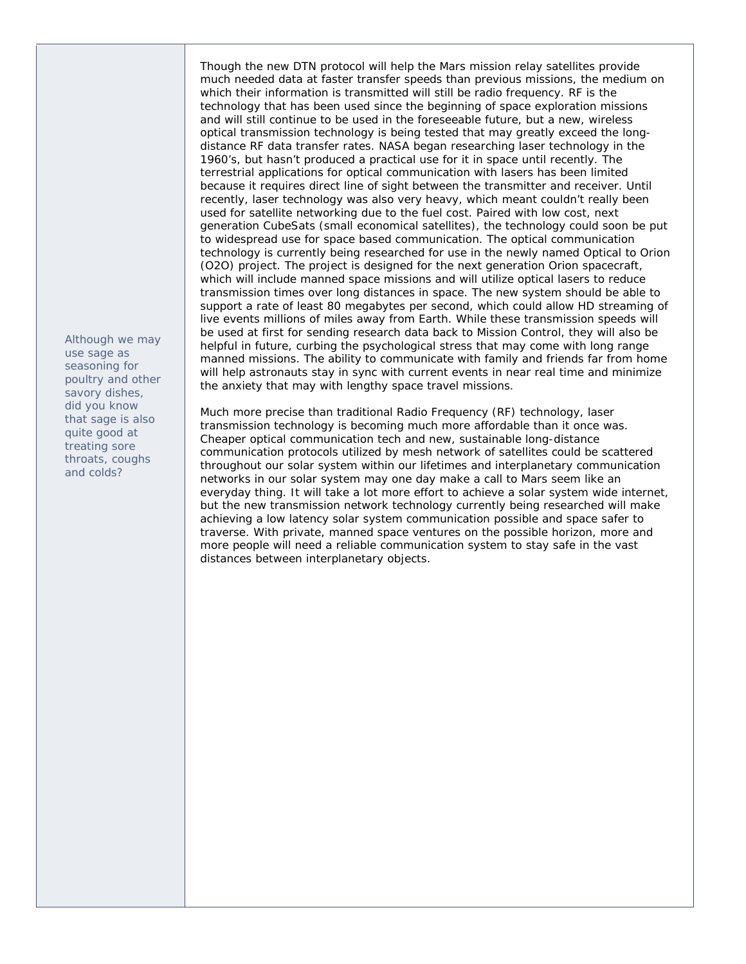*Although we may use sage as seasoning for poultry and other savory dishes, did you know that sage is also quite good at treating sore throats, coughs and colds?* 

Though the new DTN protocol will help the Mars mission relay satellites provide much needed data at faster transfer speeds than previous missions, the medium on which their information is transmitted will still be radio frequency. RF is the technology that has been used since the beginning of space exploration missions and will still continue to be used in the foreseeable future, but a new, wireless optical transmission technology is being tested that may greatly exceed the longdistance RF data transfer rates. NASA began researching laser technology in the 1960's, but hasn't produced a practical use for it in space until recently. The terrestrial applications for optical communication with lasers has been limited because it requires direct line of sight between the transmitter and receiver. Until recently, laser technology was also very heavy, which meant couldn't really been used for satellite networking due to the fuel cost. Paired with low cost, next generation CubeSats (small economical satellites), the technology could soon be put to widespread use for space based communication. The optical communication technology is currently being researched for use in the newly named Optical to Orion (O2O) project. The project is designed for the next generation Orion spacecraft, which will include manned space missions and will utilize optical lasers to reduce transmission times over long distances in space. The new system should be able to support a rate of least 80 megabytes per second, which could allow HD streaming of live events millions of miles away from Earth. While these transmission speeds will be used at first for sending research data back to Mission Control, they will also be helpful in future, curbing the psychological stress that may come with long range manned missions. The ability to communicate with family and friends far from home will help astronauts stay in sync with current events in near real time and minimize the anxiety that may with lengthy space travel missions.

Much more precise than traditional Radio Frequency (RF) technology, laser transmission technology is becoming much more affordable than it once was. Cheaper optical communication tech and new, sustainable long-distance communication protocols utilized by mesh network of satellites could be scattered throughout our solar system within our lifetimes and interplanetary communication networks in our solar system may one day make a call to Mars seem like an everyday thing. It will take a lot more effort to achieve a solar system wide internet, but the new transmission network technology currently being researched will make achieving a low latency solar system communication possible and space safer to traverse. With private, manned space ventures on the possible horizon, more and more people will need a reliable communication system to stay safe in the vast distances between interplanetary objects.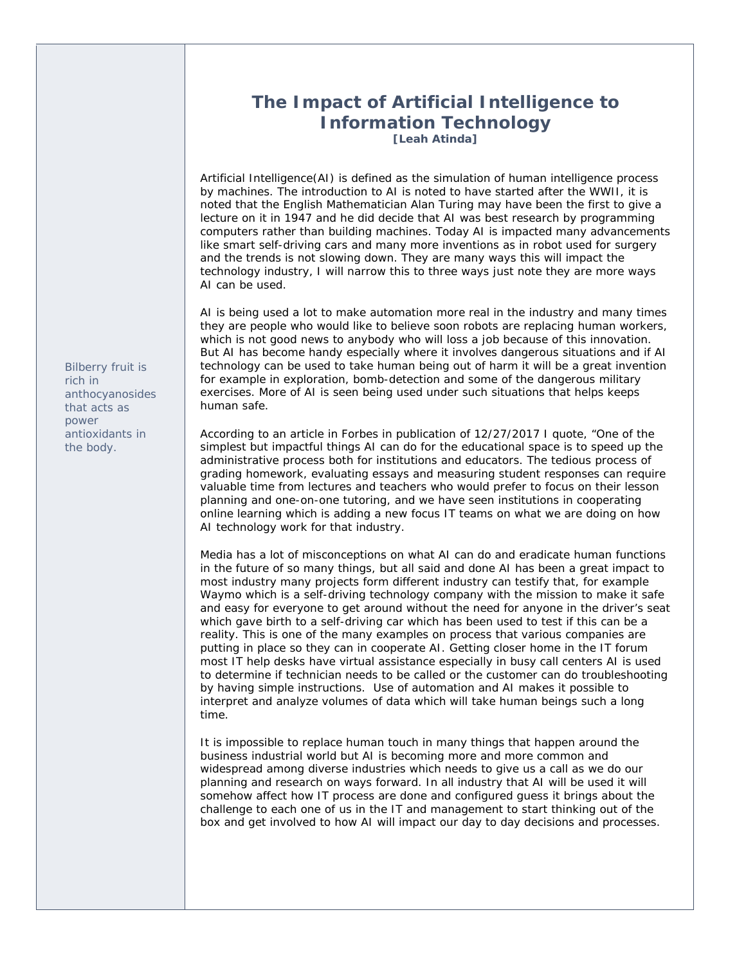# **The Impact of Artificial Intelligence to Information Technology**

**[Leah Atinda]** 

Artificial Intelligence(AI) is defined as the simulation of human intelligence process by machines. The introduction to AI is noted to have started after the WWII, it is noted that the English Mathematician Alan Turing may have been the first to give a lecture on it in 1947 and he did decide that AI was best research by programming computers rather than building machines. Today AI is impacted many advancements like smart self-driving cars and many more inventions as in robot used for surgery and the trends is not slowing down. They are many ways this will impact the technology industry, I will narrow this to three ways just note they are more ways AI can be used.

AI is being used a lot to make automation more real in the industry and many times they are people who would like to believe soon robots are replacing human workers, which is not good news to anybody who will loss a job because of this innovation. But AI has become handy especially where it involves dangerous situations and if AI technology can be used to take human being out of harm it will be a great invention for example in exploration, bomb-detection and some of the dangerous military exercises. More of AI is seen being used under such situations that helps keeps human safe.

According to an article in Forbes in publication of 12/27/2017 I quote, "One of the simplest but impactful things AI can do for the educational space is to speed up the administrative process both for institutions and educators. The tedious process of grading homework, evaluating essays and measuring student responses can require valuable time from lectures and teachers who would prefer to focus on their lesson planning and one-on-one tutoring, and we have seen institutions in cooperating online learning which is adding a new focus IT teams on what we are doing on how AI technology work for that industry.

Media has a lot of misconceptions on what AI can do and eradicate human functions in the future of so many things, but all said and done AI has been a great impact to most industry many projects form different industry can testify that, for example Waymo which is a self-driving technology company with the mission to make it safe and easy for everyone to get around without the need for anyone in the driver's seat which gave birth to a self-driving car which has been used to test if this can be a reality. This is one of the many examples on process that various companies are putting in place so they can in cooperate AI. Getting closer home in the IT forum most IT help desks have virtual assistance especially in busy call centers AI is used to determine if technician needs to be called or the customer can do troubleshooting by having simple instructions. Use of automation and AI makes it possible to interpret and analyze volumes of data which will take human beings such a long time.

It is impossible to replace human touch in many things that happen around the business industrial world but AI is becoming more and more common and widespread among diverse industries which needs to give us a call as we do our planning and research on ways forward. In all industry that AI will be used it will somehow affect how IT process are done and configured guess it brings about the challenge to each one of us in the IT and management to start thinking out of the box and get involved to how AI will impact our day to day decisions and processes.

*Bilberry fruit is rich in anthocyanosides that acts as power antioxidants in the body.*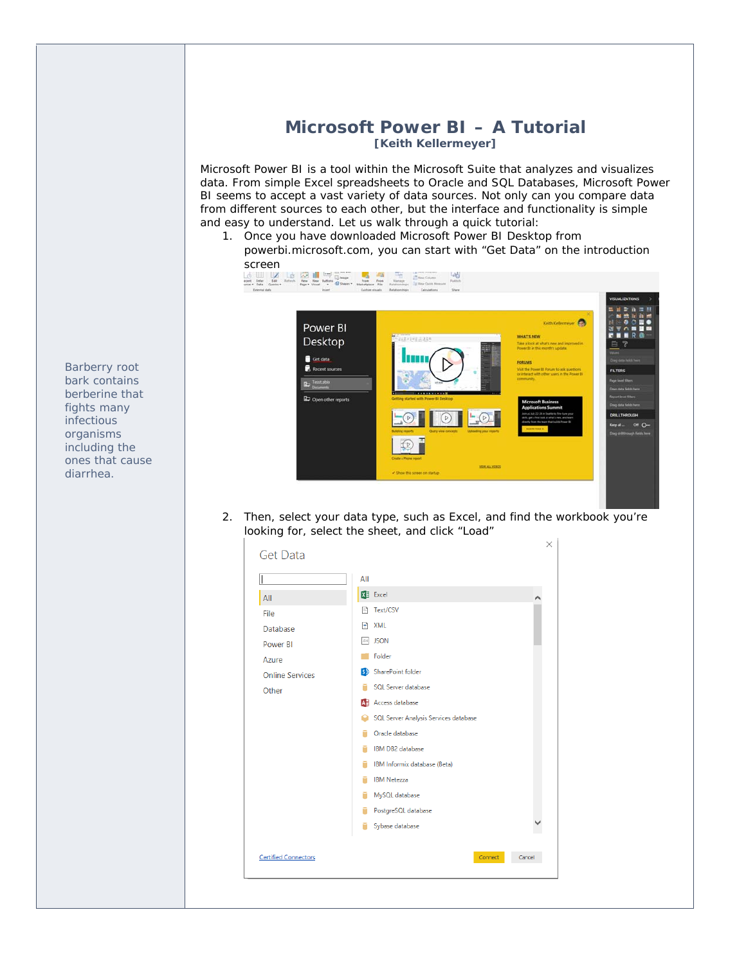# **Microsoft Power BI – A Tutorial [Keith Kellermeyer]**

Microsoft Power BI is a tool within the Microsoft Suite that analyzes and visualizes data. From simple Excel spreadsheets to Oracle and SQL Databases, Microsoft Power BI seems to accept a vast variety of data sources. Not only can you compare data from different sources to each other, but the interface and functionality is simple and easy to understand. Let us walk through a quick tutorial:

1. Once you have downloaded Microsoft Power BI Desktop from powerbi.microsoft.com, you can start with "Get Data" on the introduction



2. Then, select your data type, such as Excel, and find the workbook you're looking for, select the sheet, and click "Load"



*Barberry root bark contains berberine that fights many infectious organisms including the ones that cause diarrhea.*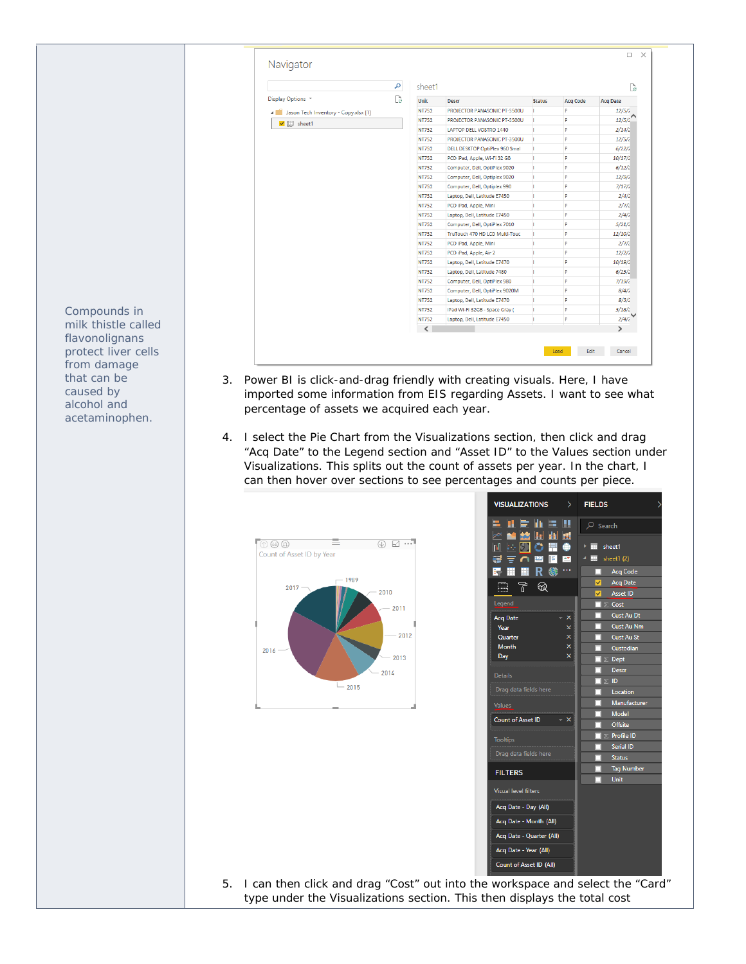|                                      | sheet1<br>ام |                                |               |                 |                 |
|--------------------------------------|--------------|--------------------------------|---------------|-----------------|-----------------|
| Display Options *                    | B<br>Unit    | <b>Descr</b>                   | <b>Status</b> | <b>Acq Code</b> | <b>Acq Date</b> |
| Jason Tech Inventory - Copy.xlsx [1] | <b>NT752</b> | PROJECTOR PANASONIC PT-3500U   | n.            | P               | 12/5/2          |
| $\sqrt{m}$ sheet1                    | <b>NT752</b> | PROJECTOR PANASONIC PT-3500U   | п             | P               | 12/5/2          |
|                                      | <b>NT752</b> | LAPTOP DELL VOSTRO 1440        | п             | Þ               | 2/14/2          |
|                                      | <b>NT752</b> | PROJECTOR PANASONIC PT-3500U   | п             | p               | 12/5/2          |
|                                      | <b>NT752</b> | DELL DESKTOP OptiPlex 960 Smal | n             | P               | 6/22/2          |
|                                      | <b>NT752</b> | PCD iPad, Apple, Wi-Fi 32 GB   | п             | P               | 10/17/2         |
|                                      | <b>NT752</b> | Computer, Dell, OptiPlex 9020  | п             | P               | 6/12/2          |
|                                      | <b>NT752</b> | Computer, Dell, Optiplex 9020  | п             | p               | 12/9/2          |
|                                      | <b>NT752</b> | Computer, Dell, Optiplex 990   | п             | P               | 7/17/2          |
|                                      | <b>NT752</b> | Laptop, Dell, Latitude E7450   | п             | P               | 2/4/2           |
|                                      | <b>NT752</b> | PCD iPad, Apple, Mini          | п             | P               | 2/7/2           |
|                                      | <b>NT752</b> | Laptop, Dell, Latitude E7450   | п             | p               | 2/4/2           |
|                                      | <b>NT752</b> | Computer, Dell, OptiPlex 7010  | п             | P               | 5/21/2          |
|                                      | <b>NT752</b> | TruTouch 470 HD LCD Multi-Touc | п             | p               | 12/10/2         |
|                                      | <b>NT752</b> | PCD iPad, Apple, Mini          | п             | P               | 2/7/2           |
|                                      | <b>NT752</b> | PCD iPad, Apple, Air 2         | п             | P               | 12/2/2          |
|                                      | <b>NT752</b> | Laptop, Dell, Latitude E7470   | п             | p               | 10/19/2         |
|                                      | <b>NT752</b> | Laptop, Dell, Latitude 7480    | п             | P               | 6/25/2          |
|                                      | <b>NT752</b> | Computer, Dell, OptiPlex 980   | п             | P               | 7/19/2          |
|                                      | <b>NT752</b> | Computer, Dell, OptiPlex 9020M | п             | P               | 8/4/2           |
|                                      | <b>NT752</b> | Laptop, Dell, Latitude E7470   | п             | P               | 8/3/2           |
|                                      | <b>NT752</b> | iPad Wi-Fi 32GB - Space Gray ( | п             | P               | 5/18/2          |
|                                      | <b>NT752</b> | Laptop, Dell, Latitude E7450   | п             | P               | 2/4/2           |
|                                      | $\langle$    |                                |               |                 | $\rightarrow$   |

- 3. Power BI is click-and-drag friendly with creating visuals. Here, I have imported some information from EIS regarding Assets. I want to see what percentage of assets we acquired each year.
- 4. I select the Pie Chart from the Visualizations section, then click and drag "Acq Date" to the Legend section and "Asset ID" to the Values section under Visualizations. This splits out the count of assets per year. In the chart, I can then hover over sections to see percentages and counts per piece.



| <b>VISUALIZATIONS</b><br>$\left\langle \right\rangle$ | <b>FIELDS</b>                              |
|-------------------------------------------------------|--------------------------------------------|
| 计全面运用<br>W<br><b>A</b><br>Ħ<br>r (                    | $O$ Search                                 |
| 捍<br>$\left  \cdots \right $<br>O<br>⊜                | 囯<br>sheet1                                |
| 123<br>F<br>$\Delta \mathbf{Y}$<br>곤                  | E.<br>sheet1 (2)                           |
| R 待<br>l.                                             | <b>Acq Code</b><br>п                       |
| T<br>Ē<br>ଇ                                           | $\overline{\checkmark}$<br><b>Acq Date</b> |
|                                                       | <b>Asset ID</b><br>$\overline{\checkmark}$ |
| Legend                                                | $\Sigma$ Cost                              |
| <b>Acq Date</b><br>$- x$                              | Cust Au Dt                                 |
| Year<br>×                                             | <b>Cust Au Nm</b>                          |
| ×<br>Quarter                                          | <b>Cust Au St</b>                          |
| ×<br><b>Month</b>                                     | Custodian                                  |
| $\overline{\mathsf{x}}$<br>Day                        | $\blacksquare$ $\triangleright$ Dept       |
| <b>Details</b>                                        | <b>Descr</b>                               |
|                                                       | $\Sigma$ ID                                |
| Drag data fields here                                 | Location                                   |
| Values                                                | Manufacturer                               |
| <b>Count of Asset ID</b><br>$- x$                     | <b>Model</b>                               |
|                                                       | <b>Offsite</b>                             |
| <b>Tooltips</b>                                       | $\Sigma$ Profile ID                        |
| Drag data fields here                                 | Serial ID                                  |
|                                                       | <b>Status</b>                              |
| <b>FILTERS</b>                                        | <b>Tag Number</b>                          |
|                                                       | Unit                                       |
| <b>Visual level filters</b>                           |                                            |
| Acq Date - Day (All)                                  |                                            |
| Acq Date - Month (All)                                |                                            |
| Acq Date - Quarter (All)                              |                                            |
| Acq Date - Year (All)                                 |                                            |
| Count of Asset ID (All)                               |                                            |

5. I can then click and drag "Cost" out into the workspace and select the "Card" type under the Visualizations section. This then displays the total cost

*Compounds in milk thistle called flavonolignans protect liver cells from damage that can be caused by alcohol and acetaminophen.*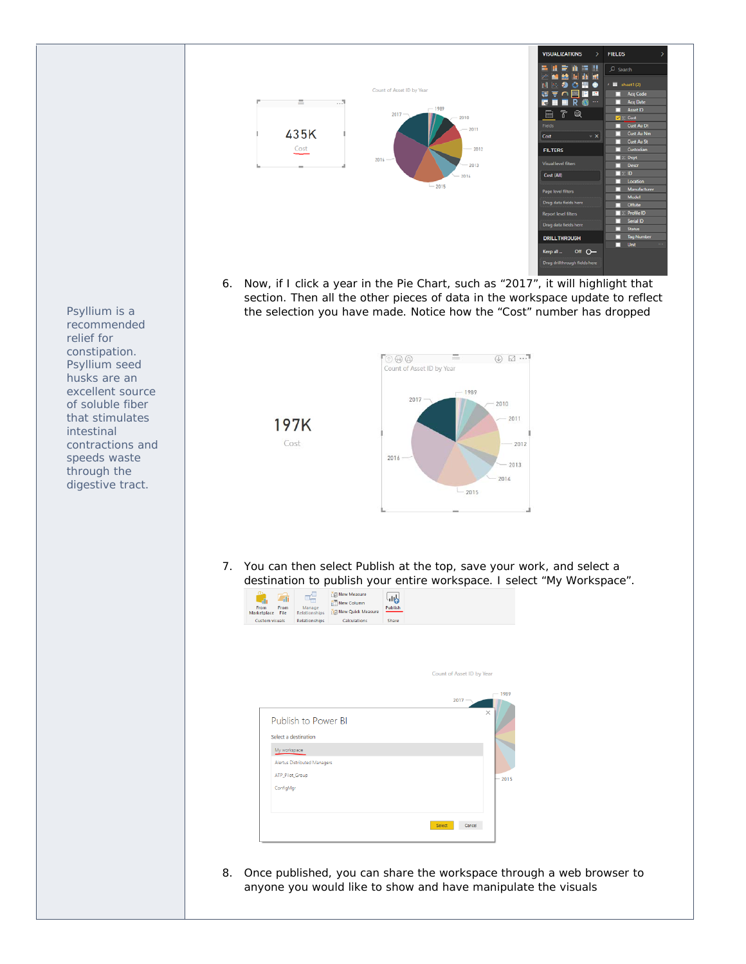

6. Now, if I click a year in the Pie Chart, such as "2017", it will highlight that section. Then all the other pieces of data in the workspace update to reflect the selection you have made. Notice how the "Cost" number has dropped



7. You can then select Publish at the top, save your work, and select a



8. Once published, you can share the workspace through a web browser to anyone you would like to show and have manipulate the visuals

*Psyllium is a recommended relief for constipation. Psyllium seed husks are an excellent source of soluble fiber that stimulates intestinal contractions and speeds waste through the digestive tract.*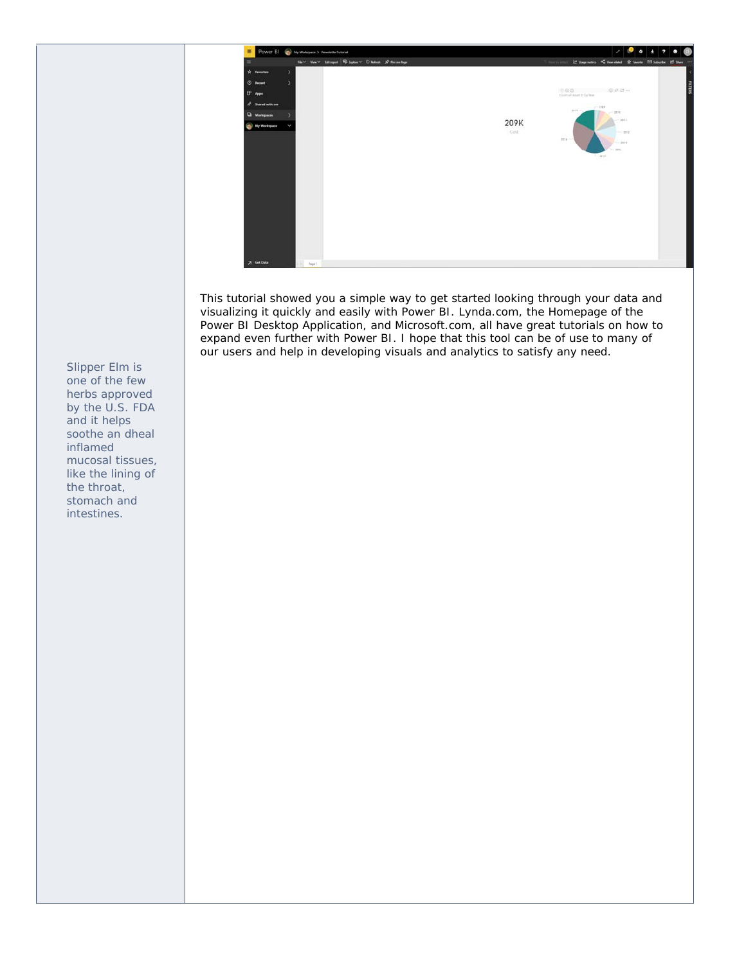

This tutorial showed you a simple way to get started looking through your data and visualizing it quickly and easily with Power BI. Lynda.com, the Homepage of the Power BI Desktop Application, and Microsoft.com, all have great tutorials on how to expand even further with Power BI. I hope that this tool can be of use to many of our users and help in developing visuals and analytics to satisfy any need.

*Slipper Elm is one of the few herbs approved by the U.S. FDA and it helps soothe an dheal inflamed mucosal tissues, like the lining of the throat, stomach and intestines.*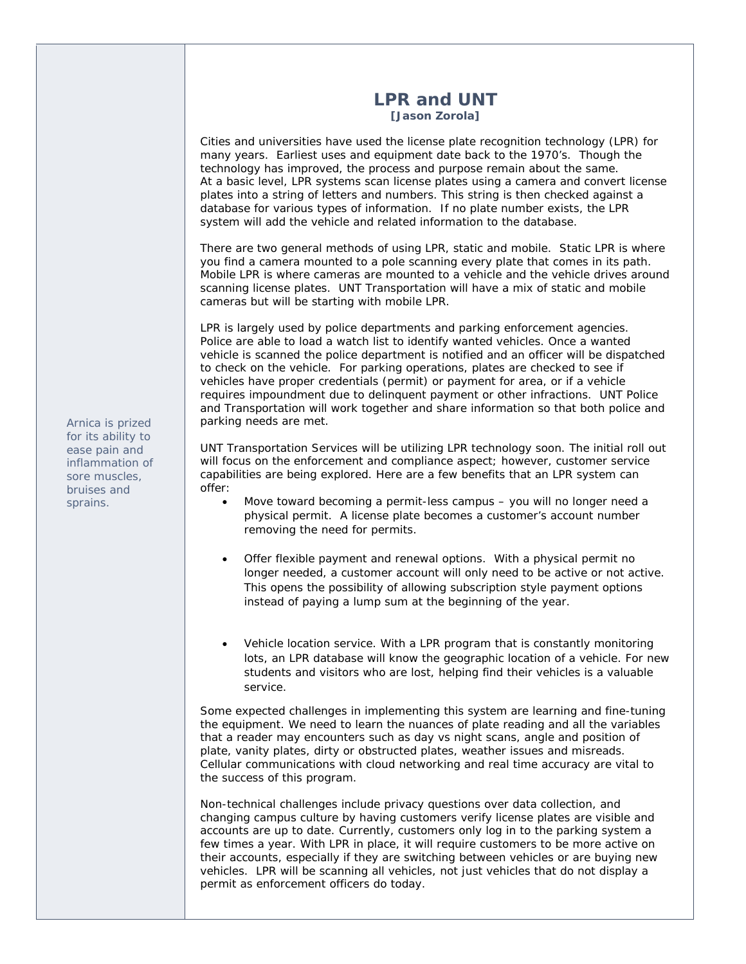# **LPR and UNT**

**[Jason Zorola]**

Cities and universities have used the license plate recognition technology (LPR) for many years. Earliest uses and equipment date back to the 1970's. Though the technology has improved, the process and purpose remain about the same. At a basic level, LPR systems scan license plates using a camera and convert license plates into a string of letters and numbers. This string is then checked against a database for various types of information. If no plate number exists, the LPR system will add the vehicle and related information to the database.

There are two general methods of using LPR, static and mobile. Static LPR is where you find a camera mounted to a pole scanning every plate that comes in its path. Mobile LPR is where cameras are mounted to a vehicle and the vehicle drives around scanning license plates. UNT Transportation will have a mix of static and mobile cameras but will be starting with mobile LPR.

LPR is largely used by police departments and parking enforcement agencies. Police are able to load a watch list to identify wanted vehicles. Once a wanted vehicle is scanned the police department is notified and an officer will be dispatched to check on the vehicle. For parking operations, plates are checked to see if vehicles have proper credentials (permit) or payment for area, or if a vehicle requires impoundment due to delinquent payment or other infractions. UNT Police and Transportation will work together and share information so that both police and parking needs are met.

UNT Transportation Services will be utilizing LPR technology soon. The initial roll out will focus on the enforcement and compliance aspect; however, customer service capabilities are being explored. Here are a few benefits that an LPR system can offer:

- Move toward becoming a permit-less campus you will no longer need a physical permit. A license plate becomes a customer's account number removing the need for permits.
- Offer flexible payment and renewal options. With a physical permit no longer needed, a customer account will only need to be active or not active. This opens the possibility of allowing subscription style payment options instead of paying a lump sum at the beginning of the year.
- Vehicle location service. With a LPR program that is constantly monitoring lots, an LPR database will know the geographic location of a vehicle. For new students and visitors who are lost, helping find their vehicles is a valuable service.

Some expected challenges in implementing this system are learning and fine-tuning the equipment. We need to learn the nuances of plate reading and all the variables that a reader may encounters such as day vs night scans, angle and position of plate, vanity plates, dirty or obstructed plates, weather issues and misreads. Cellular communications with cloud networking and real time accuracy are vital to the success of this program.

Non-technical challenges include privacy questions over data collection, and changing campus culture by having customers verify license plates are visible and accounts are up to date. Currently, customers only log in to the parking system a few times a year. With LPR in place, it will require customers to be more active on their accounts, especially if they are switching between vehicles or are buying new vehicles. LPR will be scanning all vehicles, not just vehicles that do not display a permit as enforcement officers do today.

*Arnica is prized for its ability to ease pain and inflammation of sore muscles, bruises and sprains.*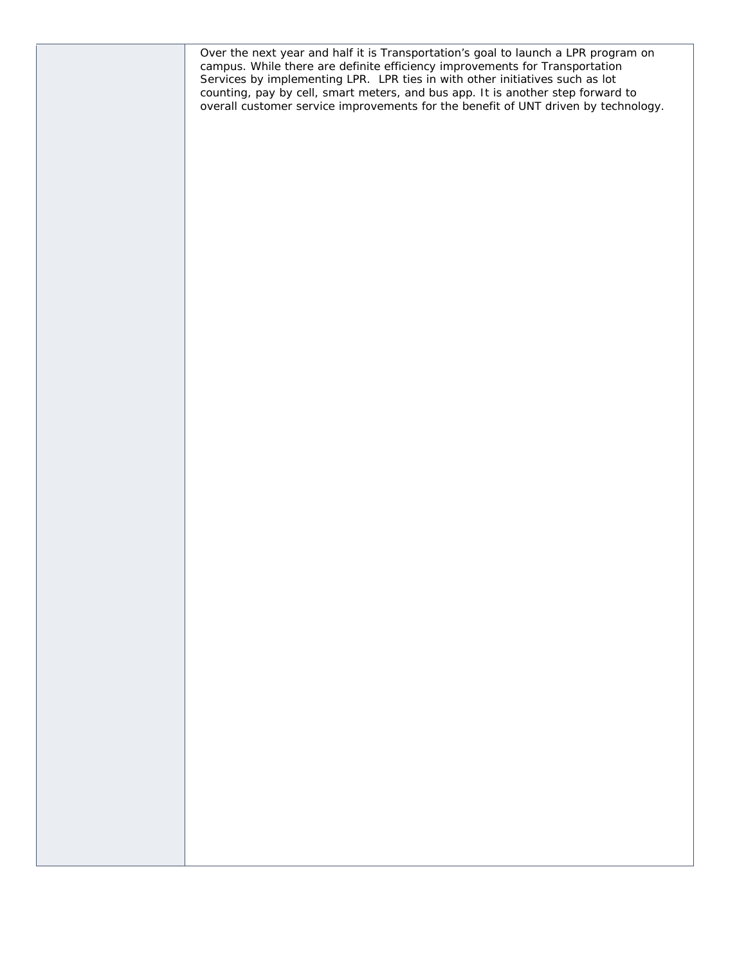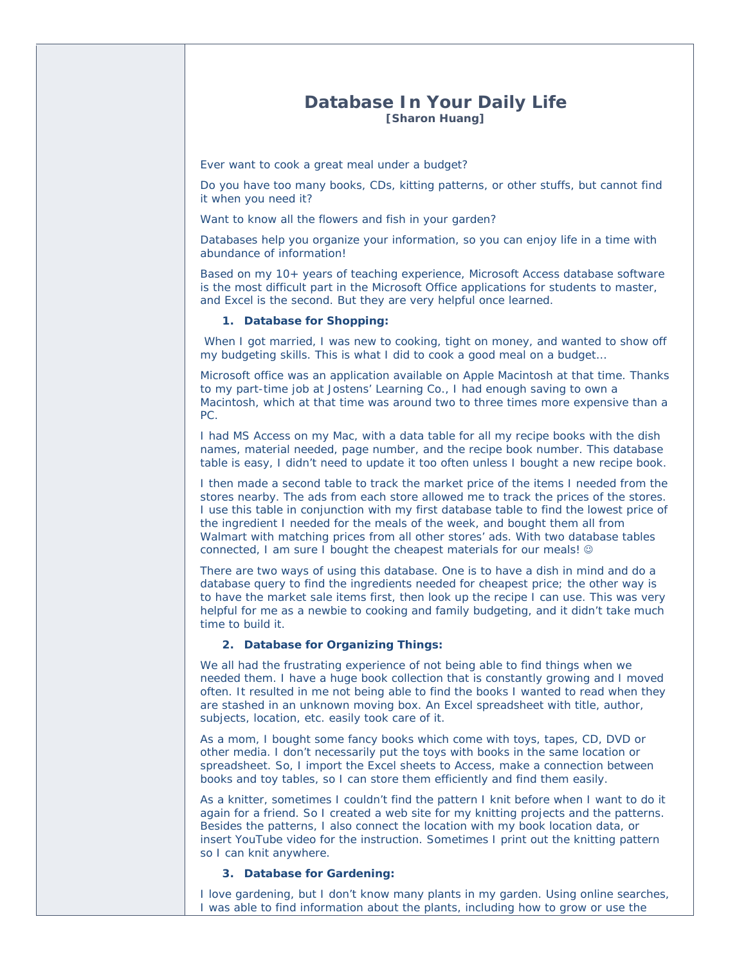## **Database In Your Daily Life [Sharon Huang]**

Ever want to cook a great meal under a budget?

Do you have too many books, CDs, kitting patterns, or other stuffs, but cannot find it when you need it?

Want to know all the flowers and fish in your garden?

Databases help you organize your information, so you can enjoy life in a time with abundance of information!

Based on my 10+ years of teaching experience, Microsoft Access database software is the most difficult part in the Microsoft Office applications for students to master, and Excel is the second. But they are very helpful once learned.

#### **1. Database for Shopping:**

 When I got married, I was new to cooking, tight on money, and wanted to show off my budgeting skills. This is what I did to cook a good meal on a budget…

Microsoft office was an application available on Apple Macintosh at that time. Thanks to my part-time job at Jostens' Learning Co., I had enough saving to own a Macintosh, which at that time was around two to three times more expensive than a PC.

I had MS Access on my Mac, with a data table for all my recipe books with the dish names, material needed, page number, and the recipe book number. This database table is easy, I didn't need to update it too often unless I bought a new recipe book.

I then made a second table to track the market price of the items I needed from the stores nearby. The ads from each store allowed me to track the prices of the stores. I use this table in conjunction with my first database table to find the lowest price of the ingredient I needed for the meals of the week, and bought them all from Walmart with matching prices from all other stores' ads. With two database tables connected, I am sure I bought the cheapest materials for our meals!

There are two ways of using this database. One is to have a dish in mind and do a database query to find the ingredients needed for cheapest price; the other way is to have the market sale items first, then look up the recipe I can use. This was very helpful for me as a newbie to cooking and family budgeting, and it didn't take much time to build it.

#### **2. Database for Organizing Things:**

We all had the frustrating experience of not being able to find things when we needed them. I have a huge book collection that is constantly growing and I moved often. It resulted in me not being able to find the books I wanted to read when they are stashed in an unknown moving box. An Excel spreadsheet with title, author, subjects, location, etc. easily took care of it.

As a mom, I bought some fancy books which come with toys, tapes, CD, DVD or other media. I don't necessarily put the toys with books in the same location or spreadsheet. So, I import the Excel sheets to Access, make a connection between books and toy tables, so I can store them efficiently and find them easily.

As a knitter, sometimes I couldn't find the pattern I knit before when I want to do it again for a friend. So I created a web site for my knitting projects and the patterns. Besides the patterns, I also connect the location with my book location data, or insert YouTube video for the instruction. Sometimes I print out the knitting pattern so I can knit anywhere.

#### **3. Database for Gardening:**

I love gardening, but I don't know many plants in my garden. Using online searches, I was able to find information about the plants, including how to grow or use the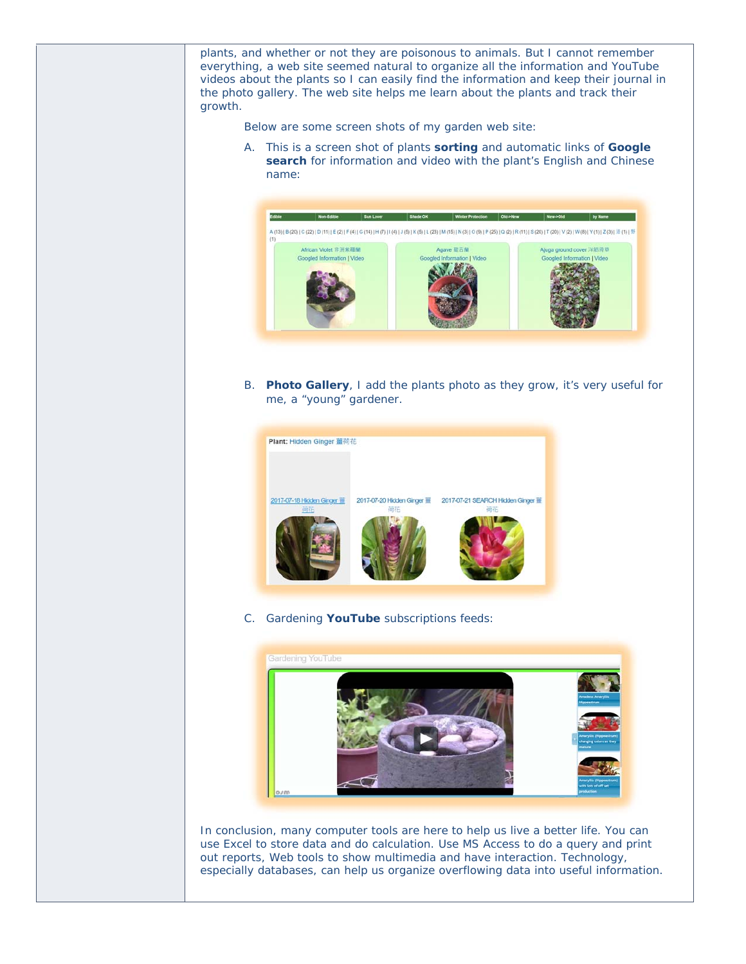plants, and whether or not they are poisonous to animals. But I cannot remember everything, a web site seemed natural to organize all the information and YouTube videos about the plants so I can easily find the information and keep their journal in the photo gallery. The web site helps me learn about the plants and track their growth.

Below are some screen shots of my garden web site:

A. This is a screen shot of plants **sorting** and automatic links of **Google search** for information and video with the plant's English and Chinese name:



B. **Photo Gallery**, I add the plants photo as they grow, it's very useful for me, a "young" gardener.



C. Gardening **YouTube** subscriptions feeds:



In conclusion, many computer tools are here to help us live a better life. You can use Excel to store data and do calculation. Use MS Access to do a query and print out reports, Web tools to show multimedia and have interaction. Technology, especially databases, can help us organize overflowing data into useful information.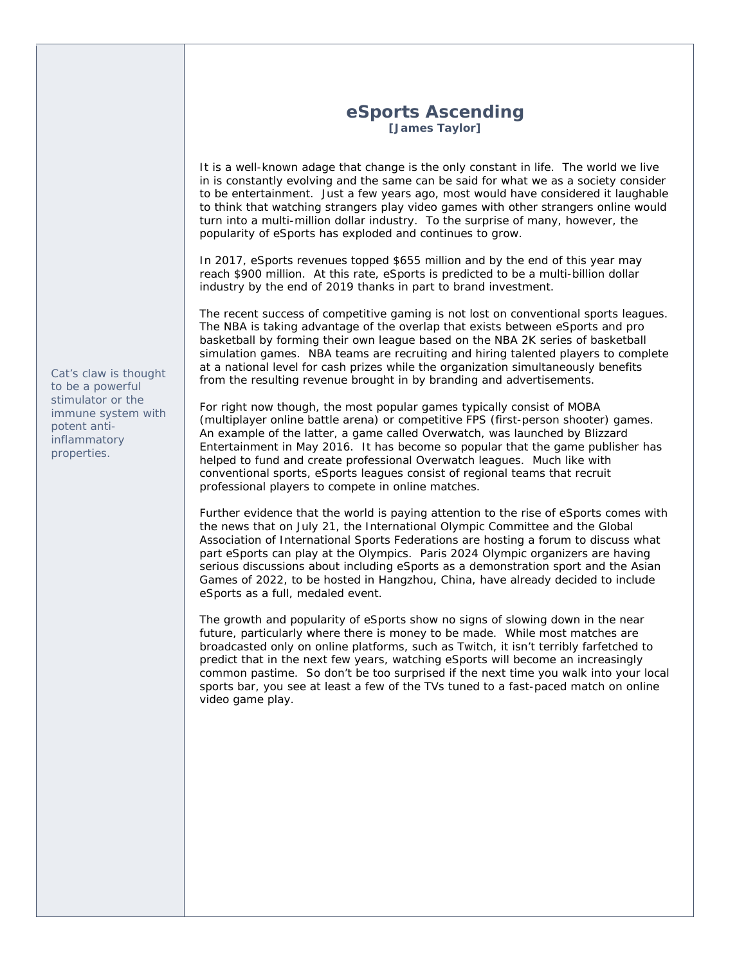# **eSports Ascending [James Taylor]**

It is a well-known adage that change is the only constant in life. The world we live in is constantly evolving and the same can be said for what we as a society consider to be entertainment. Just a few years ago, most would have considered it laughable to think that watching strangers play video games with other strangers online would turn into a multi-million dollar industry. To the surprise of many, however, the popularity of eSports has exploded and continues to grow.

In 2017, eSports revenues topped \$655 million and by the end of this year may reach \$900 million. At this rate, eSports is predicted to be a multi-billion dollar industry by the end of 2019 thanks in part to brand investment.

The recent success of competitive gaming is not lost on conventional sports leagues. The NBA is taking advantage of the overlap that exists between eSports and pro basketball by forming their own league based on the NBA 2K series of basketball simulation games. NBA teams are recruiting and hiring talented players to complete at a national level for cash prizes while the organization simultaneously benefits from the resulting revenue brought in by branding and advertisements.

For right now though, the most popular games typically consist of MOBA (multiplayer online battle arena) or competitive FPS (first-person shooter) games. An example of the latter, a game called Overwatch, was launched by Blizzard Entertainment in May 2016. It has become so popular that the game publisher has helped to fund and create professional Overwatch leagues. Much like with conventional sports, eSports leagues consist of regional teams that recruit professional players to compete in online matches.

Further evidence that the world is paying attention to the rise of eSports comes with the news that on July 21, the International Olympic Committee and the Global Association of International Sports Federations are hosting a forum to discuss what part eSports can play at the Olympics. Paris 2024 Olympic organizers are having serious discussions about including eSports as a demonstration sport and the Asian Games of 2022, to be hosted in Hangzhou, China, have already decided to include eSports as a full, medaled event.

The growth and popularity of eSports show no signs of slowing down in the near future, particularly where there is money to be made. While most matches are broadcasted only on online platforms, such as Twitch, it isn't terribly farfetched to predict that in the next few years, watching eSports will become an increasingly common pastime. So don't be too surprised if the next time you walk into your local sports bar, you see at least a few of the TVs tuned to a fast-paced match on online video game play.

*Cat's claw is thought to be a powerful stimulator or the immune system with potent antiinflammatory properties.*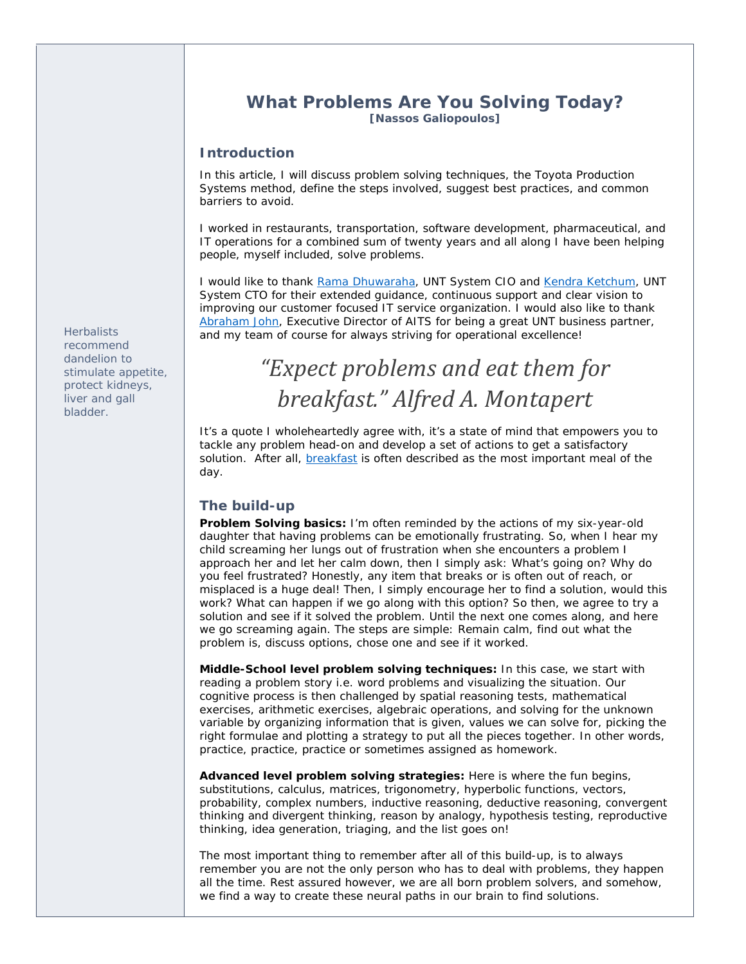# **What Problems Are You Solving Today?**

**[Nassos Galiopoulos]**

#### **Introduction**

In this article, I will discuss problem solving techniques, the Toyota Production Systems method, define the steps involved, suggest best practices, and common barriers to avoid.

I worked in restaurants, transportation, software development, pharmaceutical, and IT operations for a combined sum of twenty years and all along I have been helping people, myself included, solve problems.

I would like to thank Rama Dhuwaraha, UNT System CIO and Kendra Ketchum, UNT System CTO for their extended guidance, continuous support and clear vision to improving our customer focused IT service organization. I would also like to thank Abraham John, Executive Director of AITS for being a great UNT business partner, and my team of course for always striving for operational excellence!

# *"Expect problems and eat them for breakfast." Alfred A. Montapert*

It's a quote I wholeheartedly agree with, it's a state of mind that empowers you to tackle any problem head-on and develop a set of actions to get a satisfactory solution. After all, **breakfast** is often described as the most important meal of the day.

#### **The build-up**

**Problem Solving basics:** I'm often reminded by the actions of my six-year-old daughter that having problems can be emotionally frustrating. So, when I hear my child screaming her lungs out of frustration when she encounters a problem I approach her and let her calm down, then I simply ask: What's going on? Why do you feel frustrated? Honestly, any item that breaks or is often out of reach, or misplaced is a huge deal! Then, I simply encourage her to find a solution, would this work? What can happen if we go along with this option? So then, we agree to try a solution and see if it solved the problem. Until the next one comes along, and here we go screaming again. The steps are simple: Remain calm, find out what the problem is, discuss options, chose one and see if it worked.

**Middle-School level problem solving techniques:** In this case, we start with reading a problem story i.e. word problems and visualizing the situation. Our cognitive process is then challenged by spatial reasoning tests, mathematical exercises, arithmetic exercises, algebraic operations, and solving for the unknown variable by organizing information that is given, values we can solve for, picking the right formulae and plotting a strategy to put all the pieces together. In other words, practice, practice, practice or sometimes assigned as homework.

**Advanced level problem solving strategies:** Here is where the fun begins, substitutions, calculus, matrices, trigonometry, hyperbolic functions, vectors, probability, complex numbers, inductive reasoning, deductive reasoning, convergent thinking and divergent thinking, reason by analogy, hypothesis testing, reproductive thinking, idea generation, triaging, and the list goes on!

The most important thing to remember after all of this build-up, is to always remember you are not the only person who has to deal with problems, they happen all the time. Rest assured however, we are all born problem solvers, and somehow, we find a way to create these neural paths in our brain to find solutions.

*Herbalists recommend dandelion to stimulate appetite, protect kidneys, liver and gall bladder.*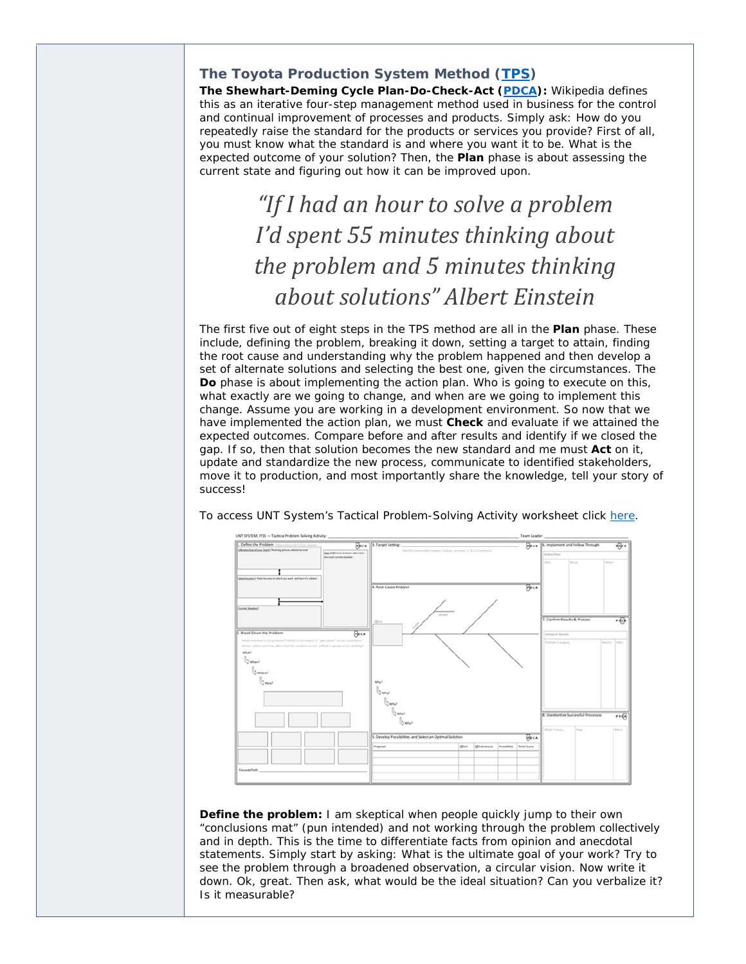### **The Toyota Production System Method (TPS)**

**The Shewhart-Deming Cycle Plan-Do-Check-Act (PDCA):** Wikipedia defines this as an iterative four-step management method used in business for the control and continual improvement of processes and products. Simply ask: How do you repeatedly raise the standard for the products or services you provide? First of all, you must know what the standard is and where you want it to be. What is the expected outcome of your solution? Then, the **Plan** phase is about assessing the current state and figuring out how it can be improved upon.

# *"If I had an hour to solve a problem I'd spent 55 minutes thinking about the problem and 5 minutes thinking about solutions" Albert Einstein*

The first five out of eight steps in the TPS method are all in the **Plan** phase. These include, defining the problem, breaking it down, setting a target to attain, finding the root cause and understanding why the problem happened and then develop a set of alternate solutions and selecting the best one, given the circumstances. The **Do** phase is about implementing the action plan. Who is going to execute on this, what exactly are we going to change, and when are we going to implement this change. Assume you are working in a development environment. So now that we have implemented the action plan, we must **Check** and evaluate if we attained the expected outcomes. Compare before and after results and identify if we closed the gap. If so, then that solution becomes the new standard and me must **Act** on it, update and standardize the new process, communicate to identified stakeholders, move it to production, and most importantly share the knowledge, tell your story of success!



To access UNT System's Tactical Problem-Solving Activity worksheet click here.

**Define the problem:** I am skeptical when people quickly jump to their own "conclusions mat" (pun intended) and not working through the problem collectively and in depth. This is the time to differentiate facts from opinion and anecdotal statements. Simply start by asking: What is the ultimate goal of your work? Try to see the problem through a broadened observation, a circular vision. Now write it down. Ok, great. Then ask, what would be the ideal situation? Can you verbalize it? Is it measurable?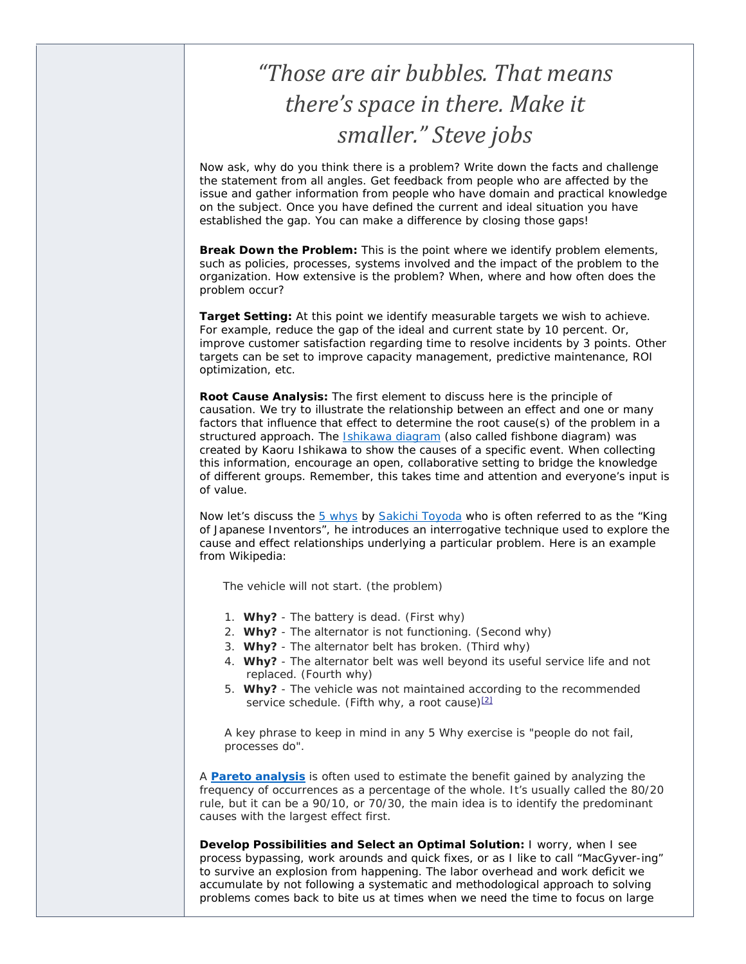# *"Those are air bubbles. That means there's space in there. Make it smaller." Steve jobs*

Now ask, why do you think there is a problem? Write down the facts and challenge the statement from all angles. Get feedback from people who are affected by the issue and gather information from people who have domain and practical knowledge on the subject. Once you have defined the current and ideal situation you have established the gap. You can make a difference by closing those gaps!

**Break Down the Problem:** This is the point where we identify problem elements, such as policies, processes, systems involved and the impact of the problem to the organization. How extensive is the problem? When, where and how often does the problem occur?

**Target Setting:** At this point we identify measurable targets we wish to achieve. For example, reduce the gap of the ideal and current state by 10 percent. Or, improve customer satisfaction regarding time to resolve incidents by 3 points. Other targets can be set to improve capacity management, predictive maintenance, ROI optimization, etc.

**Root Cause Analysis:** The first element to discuss here is the principle of causation. We try to illustrate the relationship between an effect and one or many factors that influence that effect to determine the root cause(s) of the problem in a structured approach. The Ishikawa diagram (also called fishbone diagram) was created by Kaoru Ishikawa to show the causes of a specific event. When collecting this information, encourage an open, collaborative setting to bridge the knowledge of different groups. Remember, this takes time and attention and everyone's input is of value.

Now let's discuss the 5 whys by Sakichi Toyoda who is often referred to as the "King" of Japanese Inventors", he introduces an interrogative technique used to explore the cause and effect relationships underlying a particular problem. Here is an example from Wikipedia:

The vehicle will not start. (the problem)

- 1. *Why?* The battery is dead. (First why)
- 2. *Why?* The alternator is not functioning. (Second why)
- 3. *Why?* The alternator belt has broken. (Third why)
- 4. *Why?* The alternator belt was well beyond its useful service life and not replaced. (Fourth why)
- 5. *Why?* The vehicle was not maintained according to the recommended service schedule. (Fifth why, a root cause)<sup>[2]</sup>

A key phrase to keep in mind in any 5 Why exercise is "people do not fail, processes do".

A **Pareto analysis** is often used to estimate the benefit gained by analyzing the frequency of occurrences as a percentage of the whole. It's usually called the 80/20 rule, but it can be a 90/10, or 70/30, the main idea is to identify the predominant causes with the largest effect first.

**Develop Possibilities and Select an Optimal Solution:** I worry, when I see process bypassing, work arounds and quick fixes, or as I like to call "MacGyver-ing" to survive an explosion from happening. The labor overhead and work deficit we accumulate by not following a systematic and methodological approach to solving problems comes back to bite us at times when we need the time to focus on large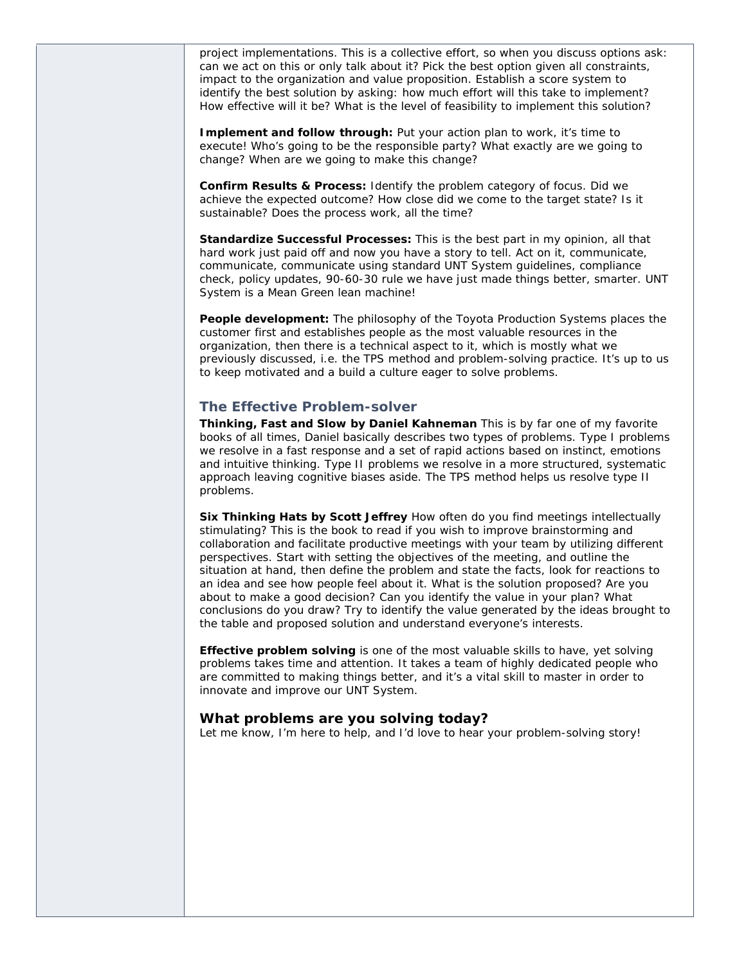project implementations. This is a collective effort, so when you discuss options ask: can we act on this or only talk about it? Pick the best option given all constraints, impact to the organization and value proposition. Establish a score system to identify the best solution by asking: how much effort will this take to implement? How effective will it be? What is the level of feasibility to implement this solution?

**Implement and follow through:** Put your action plan to work, it's time to execute! Who's going to be the responsible party? What exactly are we going to change? When are we going to make this change?

**Confirm Results & Process:** Identify the problem category of focus. Did we achieve the expected outcome? How close did we come to the target state? Is it sustainable? Does the process work, all the time?

**Standardize Successful Processes:** This is the best part in my opinion, all that hard work just paid off and now you have a story to tell. Act on it, communicate, communicate, communicate using standard UNT System guidelines, compliance check, policy updates, 90-60-30 rule we have just made things better, smarter. UNT System is a Mean Green lean machine!

**People development:** The philosophy of the Toyota Production Systems places the customer first and establishes people as the most valuable resources in the organization, then there is a technical aspect to it, which is mostly what we previously discussed, i.e. the TPS method and problem-solving practice. It's up to us to keep motivated and a build a culture eager to solve problems.

#### **The Effective Problem-solver**

**Thinking, Fast and Slow by Daniel Kahneman** This is by far one of my favorite books of all times, Daniel basically describes two types of problems. Type I problems we resolve in a fast response and a set of rapid actions based on instinct, emotions and intuitive thinking. Type II problems we resolve in a more structured, systematic approach leaving cognitive biases aside. The TPS method helps us resolve type II problems.

**Six Thinking Hats by Scott Jeffrey** How often do you find meetings intellectually stimulating? This is the book to read if you wish to improve brainstorming and collaboration and facilitate productive meetings with your team by utilizing different perspectives. Start with setting the objectives of the meeting, and outline the situation at hand, then define the problem and state the facts, look for reactions to an idea and see how people feel about it. What is the solution proposed? Are you about to make a good decision? Can you identify the value in your plan? What conclusions do you draw? Try to identify the value generated by the ideas brought to the table and proposed solution and understand everyone's interests.

**Effective problem solving** is one of the most valuable skills to have, yet solving problems takes time and attention. It takes a team of highly dedicated people who are committed to making things better, and it's a vital skill to master in order to innovate and improve our UNT System.

#### *What problems are you solving today?*

Let me know, I'm here to help, and I'd love to hear your problem-solving story!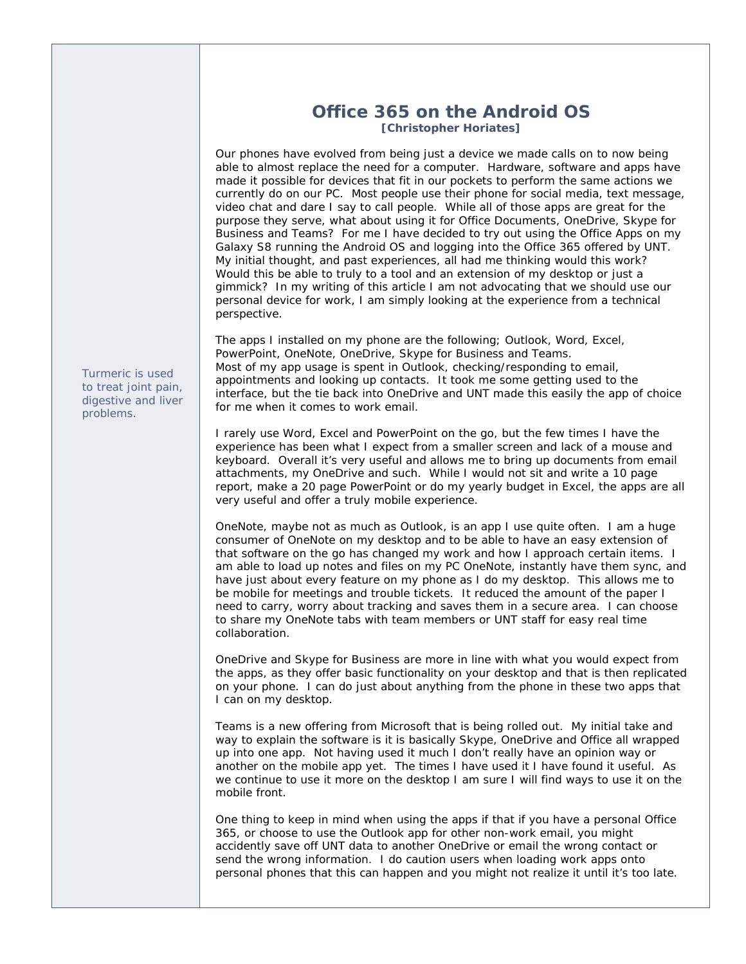# **Office 365 on the Android OS [Christopher Horiates]**

Our phones have evolved from being just a device we made calls on to now being able to almost replace the need for a computer. Hardware, software and apps have made it possible for devices that fit in our pockets to perform the same actions we currently do on our PC. Most people use their phone for social media, text message, video chat and dare I say to call people. While all of those apps are great for the purpose they serve, what about using it for Office Documents, OneDrive, Skype for Business and Teams? For me I have decided to try out using the Office Apps on my Galaxy S8 running the Android OS and logging into the Office 365 offered by UNT. My initial thought, and past experiences, all had me thinking would this work? Would this be able to truly to a tool and an extension of my desktop or just a gimmick? In my writing of this article I am not advocating that we should use our personal device for work, I am simply looking at the experience from a technical perspective.

The apps I installed on my phone are the following; Outlook, Word, Excel, PowerPoint, OneNote, OneDrive, Skype for Business and Teams. Most of my app usage is spent in Outlook, checking/responding to email, appointments and looking up contacts. It took me some getting used to the interface, but the tie back into OneDrive and UNT made this easily the app of choice for me when it comes to work email.

I rarely use Word, Excel and PowerPoint on the go, but the few times I have the experience has been what I expect from a smaller screen and lack of a mouse and keyboard. Overall it's very useful and allows me to bring up documents from email attachments, my OneDrive and such. While I would not sit and write a 10 page report, make a 20 page PowerPoint or do my yearly budget in Excel, the apps are all very useful and offer a truly mobile experience.

OneNote, maybe not as much as Outlook, is an app I use quite often. I am a huge consumer of OneNote on my desktop and to be able to have an easy extension of that software on the go has changed my work and how I approach certain items. I am able to load up notes and files on my PC OneNote, instantly have them sync, and have just about every feature on my phone as I do my desktop. This allows me to be mobile for meetings and trouble tickets. It reduced the amount of the paper I need to carry, worry about tracking and saves them in a secure area. I can choose to share my OneNote tabs with team members or UNT staff for easy real time collaboration.

OneDrive and Skype for Business are more in line with what you would expect from the apps, as they offer basic functionality on your desktop and that is then replicated on your phone. I can do just about anything from the phone in these two apps that I can on my desktop.

Teams is a new offering from Microsoft that is being rolled out. My initial take and way to explain the software is it is basically Skype, OneDrive and Office all wrapped up into one app. Not having used it much I don't really have an opinion way or another on the mobile app yet. The times I have used it I have found it useful. As we continue to use it more on the desktop I am sure I will find ways to use it on the mobile front.

One thing to keep in mind when using the apps if that if you have a personal Office 365, or choose to use the Outlook app for other non-work email, you might accidently save off UNT data to another OneDrive or email the wrong contact or send the wrong information. I do caution users when loading work apps onto personal phones that this can happen and you might not realize it until it's too late.

*Turmeric is used to treat joint pain, digestive and liver problems.*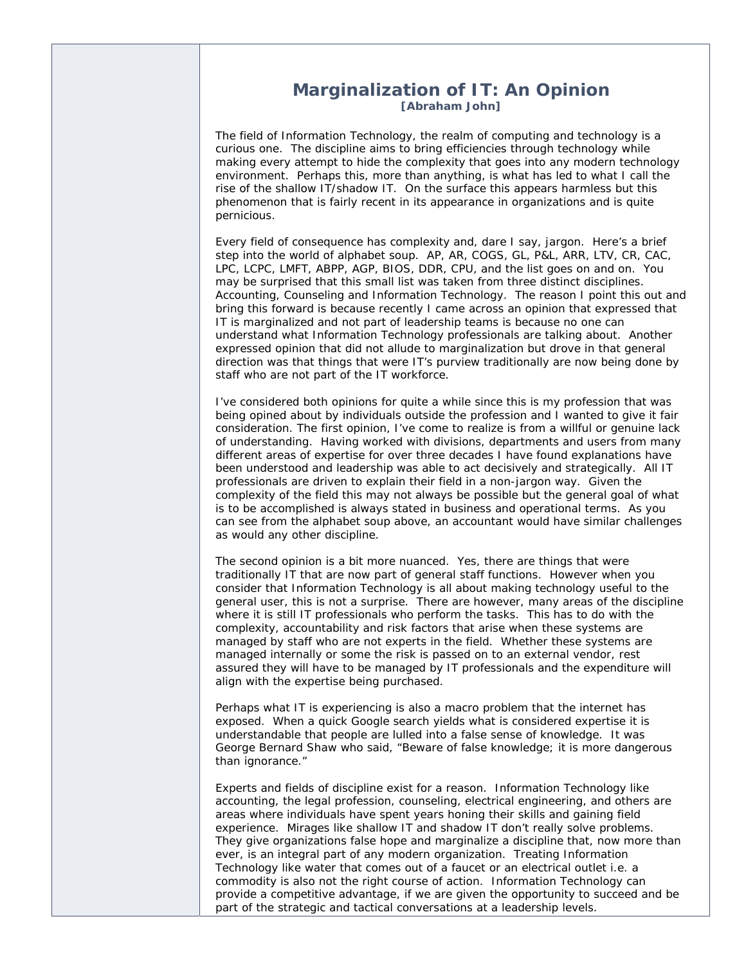### **Marginalization of IT: An Opinion [Abraham John]**

The field of Information Technology, the realm of computing and technology is a curious one. The discipline aims to bring efficiencies through technology while making every attempt to hide the complexity that goes into any modern technology environment. Perhaps this, more than anything, is what has led to what I call the rise of the shallow IT/shadow IT. On the surface this appears harmless but this phenomenon that is fairly recent in its appearance in organizations and is quite pernicious.

Every field of consequence has complexity and, dare I say, jargon. Here's a brief step into the world of alphabet soup. AP, AR, COGS, GL, P&L, ARR, LTV, CR, CAC, LPC, LCPC, LMFT, ABPP, AGP, BIOS, DDR, CPU, and the list goes on and on. You may be surprised that this small list was taken from three distinct disciplines. Accounting, Counseling and Information Technology. The reason I point this out and bring this forward is because recently I came across an opinion that expressed that IT is marginalized and not part of leadership teams is because no one can understand what Information Technology professionals are talking about. Another expressed opinion that did not allude to marginalization but drove in that general direction was that things that were IT's purview traditionally are now being done by staff who are not part of the IT workforce.

I've considered both opinions for quite a while since this is my profession that was being opined about by individuals outside the profession and I wanted to give it fair consideration. The first opinion, I've come to realize is from a willful or genuine lack of understanding. Having worked with divisions, departments and users from many different areas of expertise for over three decades I have found explanations have been understood and leadership was able to act decisively and strategically. All IT professionals are driven to explain their field in a non-jargon way. Given the complexity of the field this may not always be possible but the general goal of what is to be accomplished is always stated in business and operational terms. As you can see from the alphabet soup above, an accountant would have similar challenges as would any other discipline.

The second opinion is a bit more nuanced. Yes, there are things that were traditionally IT that are now part of general staff functions. However when you consider that Information Technology is all about making technology useful to the general user, this is not a surprise. There are however, many areas of the discipline where it is still IT professionals who perform the tasks. This has to do with the complexity, accountability and risk factors that arise when these systems are managed by staff who are not experts in the field. Whether these systems are managed internally or some the risk is passed on to an external vendor, rest assured they will have to be managed by IT professionals and the expenditure will align with the expertise being purchased.

Perhaps what IT is experiencing is also a macro problem that the internet has exposed. When a quick Google search yields what is considered expertise it is understandable that people are lulled into a false sense of knowledge. It was George Bernard Shaw who said, "Beware of false knowledge; it is more dangerous than ignorance."

Experts and fields of discipline exist for a reason. Information Technology like accounting, the legal profession, counseling, electrical engineering, and others are areas where individuals have spent years honing their skills and gaining field experience. Mirages like shallow IT and shadow IT don't really solve problems. They give organizations false hope and marginalize a discipline that, now more than ever, is an integral part of any modern organization. Treating Information Technology like water that comes out of a faucet or an electrical outlet i.e. a commodity is also not the right course of action. Information Technology can provide a competitive advantage, if we are given the opportunity to succeed and be part of the strategic and tactical conversations at a leadership levels.